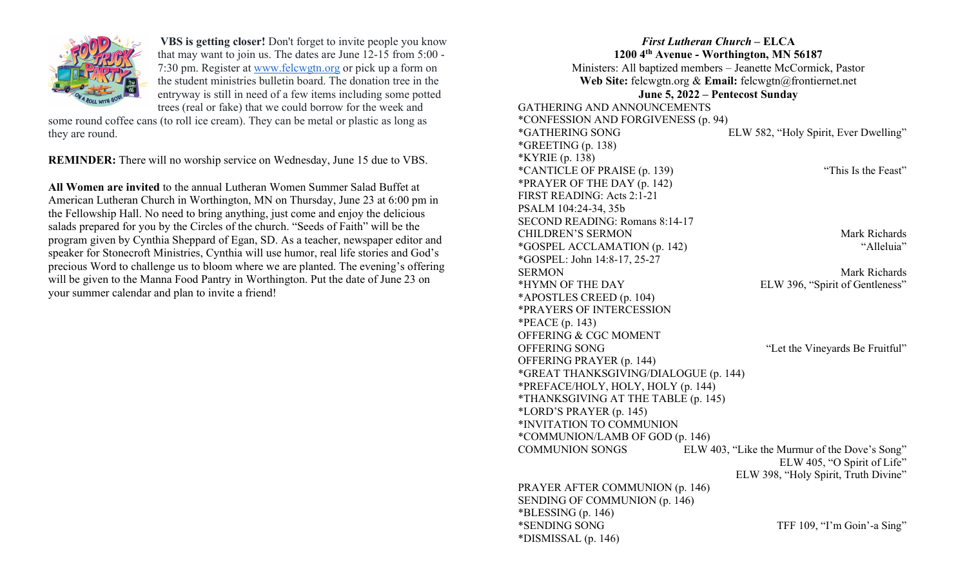

VBS is getting closer! Don't forget to invite people you know that may want to join us. The dates are June 12-15 from 5:00 - 7:30 pm. Register at www.felcwgtn.org or pick up a form on the student ministries bulletin board. The donation tree in the entryway is still in need of a few items including some potted trees (real or fake) that we could borrow for the week and

some round coffee cans (to roll ice cream). They can be metal or plastic as long as they are round.

REMINDER: There will no worship service on Wednesday, June 15 due to VBS.

All Women are invited to the annual Lutheran Women Summer Salad Buffet at American Lutheran Church in Worthington, MN on Thursday, June 23 at 6:00 pm in the Fellowship Hall. No need to bring anything, just come and enjoy the delicious salads prepared for you by the Circles of the church. "Seeds of Faith" will be the program given by Cynthia Sheppard of Egan, SD. As a teacher, newspaper editor and speaker for Stonecroft Ministries, Cynthia will use humor, real life stories and God's precious Word to challenge us to bloom where we are planted. The evening's offering will be given to the Manna Food Pantry in Worthington. Put the date of June 23 on your summer calendar and plan to invite a friend!

First Lutheran Church – ELCA 1200 4th Avenue - Worthington, MN 56187 Ministers: All baptized members – Jeanette McCormick, Pastor Web Site: felcwgtn.org & Email: felcwgtn@frontiernet.net June 5, 2022 – Pentecost Sunday GATHERING AND ANNOUNCEMENTS \*CONFESSION AND FORGIVENESS (p. 94) \*GATHERING SONG ELW 582, "Holy Spirit, Ever Dwelling" \*GREETING (p. 138) \*KYRIE (p. 138) \*CANTICLE OF PRAISE (p. 139) "This Is the Feast" \*PRAYER OF THE DAY (p. 142) FIRST READING: Acts 2:1-21 PSALM 104:24-34, 35b SECOND READING: Romans 8:14-17 CHILDREN'S SERMON Mark Richards \*GOSPEL ACCLAMATION (p. 142) "Alleluia" \*GOSPEL: John 14:8-17, 25-27 SERMON Mark Richards \*HYMN OF THE DAY ELW 396, "Spirit of Gentleness" \*APOSTLES CREED (p. 104) \*PRAYERS OF INTERCESSION \*PEACE (p. 143) OFFERING & CGC MOMENT OFFERING SONG "Let the Vineyards Be Fruitful" OFFERING PRAYER (p. 144) \*GREAT THANKSGIVING/DIALOGUE (p. 144) \*PREFACE/HOLY, HOLY, HOLY (p. 144) \*THANKSGIVING AT THE TABLE (p. 145) \*LORD'S PRAYER (p. 145) \*INVITATION TO COMMUNION \*COMMUNION/LAMB OF GOD (p. 146) COMMUNION SONGS ELW 403, "Like the Murmur of the Dove's Song" ELW 405, "O Spirit of Life" ELW 398, "Holy Spirit, Truth Divine" PRAYER AFTER COMMUNION (p. 146) SENDING OF COMMUNION (p. 146)  $*BLESSING (p. 146)$ \*SENDING SONG TFF 109, "I'm Goin'-a Sing" \*DISMISSAL (p. 146)